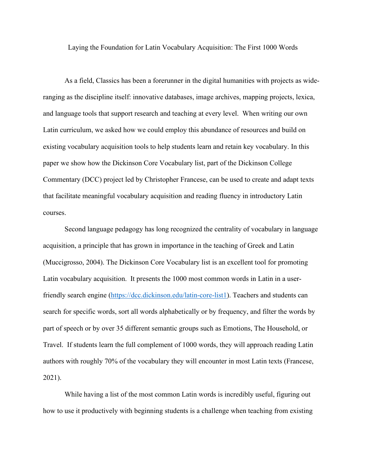Laying the Foundation for Latin Vocabulary Acquisition: The First 1000 Words

As a field, Classics has been a forerunner in the digital humanities with projects as wideranging as the discipline itself: innovative databases, image archives, mapping projects, lexica, and language tools that support research and teaching at every level. When writing our own Latin curriculum, we asked how we could employ this abundance of resources and build on existing vocabulary acquisition tools to help students learn and retain key vocabulary. In this paper we show how the Dickinson Core Vocabulary list, part of the Dickinson College Commentary (DCC) project led by Christopher Francese, can be used to create and adapt texts that facilitate meaningful vocabulary acquisition and reading fluency in introductory Latin courses.

Second language pedagogy has long recognized the centrality of vocabulary in language acquisition, a principle that has grown in importance in the teaching of Greek and Latin (Muccigrosso, 2004). The Dickinson Core Vocabulary list is an excellent tool for promoting Latin vocabulary acquisition. It presents the 1000 most common words in Latin in a user-friendly search engine [\(https://dcc.dickinson.edu/latin-core-list1\)](https://dcc.dickinson.edu/latin-core-list1). Teachers and students can search for specific words, sort all words alphabetically or by frequency, and filter the words by part of speech or by over 35 different semantic groups such as Emotions, The Household, or Travel. If students learn the full complement of 1000 words, they will approach reading Latin authors with roughly 70% of the vocabulary they will encounter in most Latin texts (Francese, 2021).

While having a list of the most common Latin words is incredibly useful, figuring out how to use it productively with beginning students is a challenge when teaching from existing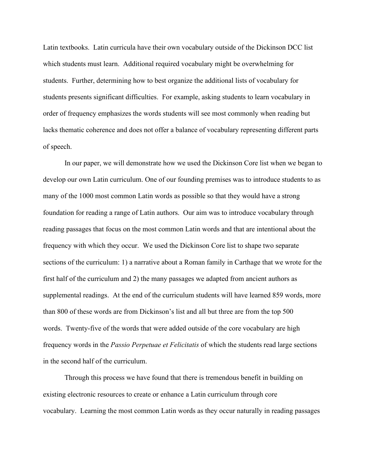Latin textbooks. Latin curricula have their own vocabulary outside of the Dickinson DCC list which students must learn. Additional required vocabulary might be overwhelming for students. Further, determining how to best organize the additional lists of vocabulary for students presents significant difficulties. For example, asking students to learn vocabulary in order of frequency emphasizes the words students will see most commonly when reading but lacks thematic coherence and does not offer a balance of vocabulary representing different parts of speech.

In our paper, we will demonstrate how we used the Dickinson Core list when we began to develop our own Latin curriculum. One of our founding premises was to introduce students to as many of the 1000 most common Latin words as possible so that they would have a strong foundation for reading a range of Latin authors. Our aim was to introduce vocabulary through reading passages that focus on the most common Latin words and that are intentional about the frequency with which they occur. We used the Dickinson Core list to shape two separate sections of the curriculum: 1) a narrative about a Roman family in Carthage that we wrote for the first half of the curriculum and 2) the many passages we adapted from ancient authors as supplemental readings. At the end of the curriculum students will have learned 859 words, more than 800 of these words are from Dickinson's list and all but three are from the top 500 words. Twenty-five of the words that were added outside of the core vocabulary are high frequency words in the *Passio Perpetuae et Felicitatis* of which the students read large sections in the second half of the curriculum.

Through this process we have found that there is tremendous benefit in building on existing electronic resources to create or enhance a Latin curriculum through core vocabulary. Learning the most common Latin words as they occur naturally in reading passages